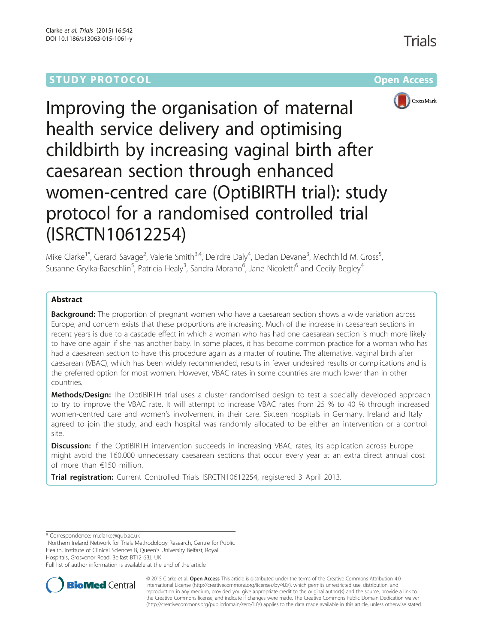# **STUDY PROTOCOL CONSUMING THE RESERVE ACCESS**



Trials

Improving the organisation of maternal health service delivery and optimising childbirth by increasing vaginal birth after caesarean section through enhanced women-centred care (OptiBIRTH trial): study protocol for a randomised controlled trial (ISRCTN10612254)

Mike Clarke<sup>1\*</sup>, Gerard Savage<sup>2</sup>, Valerie Smith<sup>3,4</sup>, Deirdre Daly<sup>4</sup>, Declan Devane<sup>3</sup>, Mechthild M. Gross<sup>5</sup> , Susanne Grylka-Baeschlin<sup>5</sup>, Patricia Healy<sup>3</sup>, Sandra Morano<sup>6</sup>, Jane Nicoletti<sup>6</sup> and Cecily Begley<sup>4</sup>

# Abstract

**Background:** The proportion of pregnant women who have a caesarean section shows a wide variation across Europe, and concern exists that these proportions are increasing. Much of the increase in caesarean sections in recent years is due to a cascade effect in which a woman who has had one caesarean section is much more likely to have one again if she has another baby. In some places, it has become common practice for a woman who has had a caesarean section to have this procedure again as a matter of routine. The alternative, vaginal birth after caesarean (VBAC), which has been widely recommended, results in fewer undesired results or complications and is the preferred option for most women. However, VBAC rates in some countries are much lower than in other countries.

Methods/Design: The OptiBIRTH trial uses a cluster randomised design to test a specially developed approach to try to improve the VBAC rate. It will attempt to increase VBAC rates from 25 % to 40 % through increased women-centred care and women's involvement in their care. Sixteen hospitals in Germany, Ireland and Italy agreed to join the study, and each hospital was randomly allocated to be either an intervention or a control site.

**Discussion:** If the OptiBIRTH intervention succeeds in increasing VBAC rates, its application across Europe might avoid the 160,000 unnecessary caesarean sections that occur every year at an extra direct annual cost of more than €150 million.

Trial registration: Current Controlled Trials [ISRCTN10612254,](http://www.controlled-trials.com/ISRCTN10612254) registered 3 April 2013.

\* Correspondence: [m.clarke@qub.ac.uk](mailto:m.clarke@qub.ac.uk) <sup>1</sup>

<sup>1</sup>Northern Ireland Network for Trials Methodology Research, Centre for Public Health, Institute of Clinical Sciences B, Queen's University Belfast, Royal Hospitals, Grosvenor Road, Belfast BT12 6BJ, UK

Full list of author information is available at the end of the article



© 2015 Clarke et al. Open Access This article is distributed under the terms of the Creative Commons Attribution 4.0 International License [\(http://creativecommons.org/licenses/by/4.0/](http://creativecommons.org/licenses/by/4.0/)), which permits unrestricted use, distribution, and reproduction in any medium, provided you give appropriate credit to the original author(s) and the source, provide a link to the Creative Commons license, and indicate if changes were made. The Creative Commons Public Domain Dedication waiver [\(http://creativecommons.org/publicdomain/zero/1.0/](http://creativecommons.org/publicdomain/zero/1.0/)) applies to the data made available in this article, unless otherwise stated.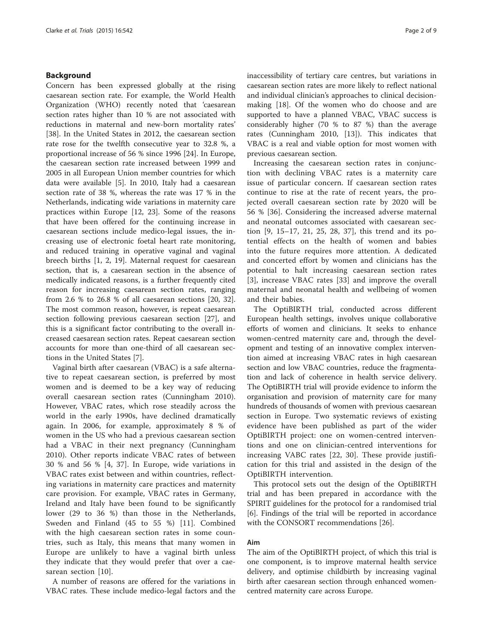# Background

Concern has been expressed globally at the rising caesarean section rate. For example, the World Health Organization (WHO) recently noted that 'caesarean section rates higher than 10 % are not associated with reductions in maternal and new-born mortality rates' [[38\]](#page-8-0). In the United States in 2012, the caesarean section rate rose for the twelfth consecutive year to 32.8 %, a proportional increase of 56 % since 1996 [\[24](#page-7-0)]. In Europe, the caesarean section rate increased between 1999 and 2005 in all European Union member countries for which data were available [\[5](#page-7-0)]. In 2010, Italy had a caesarean section rate of 38 %, whereas the rate was 17 % in the Netherlands, indicating wide variations in maternity care practices within Europe [\[12](#page-7-0), [23\]](#page-7-0). Some of the reasons that have been offered for the continuing increase in caesarean sections include medico-legal issues, the increasing use of electronic foetal heart rate monitoring, and reduced training in operative vaginal and vaginal breech births [[1, 2, 19](#page-7-0)]. Maternal request for caesarean section, that is, a caesarean section in the absence of medically indicated reasons, is a further frequently cited reason for increasing caesarean section rates, ranging from 2.6 % to 26.8 % of all caesarean sections [\[20](#page-7-0), [32](#page-8-0)]. The most common reason, however, is repeat caesarean section following previous caesarean section [\[27](#page-7-0)], and this is a significant factor contributing to the overall increased caesarean section rates. Repeat caesarean section accounts for more than one-third of all caesarean sections in the United States [\[7](#page-7-0)].

Vaginal birth after caesarean (VBAC) is a safe alternative to repeat caesarean section, is preferred by most women and is deemed to be a key way of reducing overall caesarean section rates (Cunningham 2010). However, VBAC rates, which rose steadily across the world in the early 1990s, have declined dramatically again. In 2006, for example, approximately 8 % of women in the US who had a previous caesarean section had a VBAC in their next pregnancy (Cunningham 2010). Other reports indicate VBAC rates of between 30 % and 56 % [[4,](#page-7-0) [37\]](#page-8-0). In Europe, wide variations in VBAC rates exist between and within countries, reflecting variations in maternity care practices and maternity care provision. For example, VBAC rates in Germany, Ireland and Italy have been found to be significantly lower (29 to 36 %) than those in the Netherlands, Sweden and Finland (45 to 55 %) [\[11](#page-7-0)]. Combined with the high caesarean section rates in some countries, such as Italy, this means that many women in Europe are unlikely to have a vaginal birth unless they indicate that they would prefer that over a caesarean section [[10\]](#page-7-0).

A number of reasons are offered for the variations in VBAC rates. These include medico-legal factors and the inaccessibility of tertiary care centres, but variations in caesarean section rates are more likely to reflect national and individual clinician's approaches to clinical decisionmaking [[18](#page-7-0)]. Of the women who do choose and are supported to have a planned VBAC, VBAC success is considerably higher (70 % to 87 %) than the average rates (Cunningham 2010, [[13\]](#page-7-0)). This indicates that VBAC is a real and viable option for most women with previous caesarean section.

Increasing the caesarean section rates in conjunction with declining VBAC rates is a maternity care issue of particular concern. If caesarean section rates continue to rise at the rate of recent years, the projected overall caesarean section rate by 2020 will be 56 % [[36\]](#page-8-0). Considering the increased adverse maternal and neonatal outcomes associated with caesarean section [\[9](#page-7-0), [15](#page-7-0)–[17, 21, 25](#page-7-0), [28](#page-7-0), [37\]](#page-8-0), this trend and its potential effects on the health of women and babies into the future requires more attention. A dedicated and concerted effort by women and clinicians has the potential to halt increasing caesarean section rates [[3](#page-7-0)], increase VBAC rates [\[33](#page-8-0)] and improve the overall maternal and neonatal health and wellbeing of women and their babies.

The OptiBIRTH trial, conducted across different European health settings, involves unique collaborative efforts of women and clinicians. It seeks to enhance women-centred maternity care and, through the development and testing of an innovative complex intervention aimed at increasing VBAC rates in high caesarean section and low VBAC countries, reduce the fragmentation and lack of coherence in health service delivery. The OptiBIRTH trial will provide evidence to inform the organisation and provision of maternity care for many hundreds of thousands of women with previous caesarean section in Europe. Two systematic reviews of existing evidence have been published as part of the wider OptiBIRTH project: one on women-centred interventions and one on clinician-centred interventions for increasing VABC rates [[22, 30](#page-7-0)]. These provide justification for this trial and assisted in the design of the OptiBIRTH intervention.

This protocol sets out the design of the OptiBIRTH trial and has been prepared in accordance with the SPIRIT guidelines for the protocol for a randomised trial [[6\]](#page-7-0). Findings of the trial will be reported in accordance with the CONSORT recommendations [[26\]](#page-7-0).

### Aim

The aim of the OptiBIRTH project, of which this trial is one component, is to improve maternal health service delivery, and optimise childbirth by increasing vaginal birth after caesarean section through enhanced womencentred maternity care across Europe.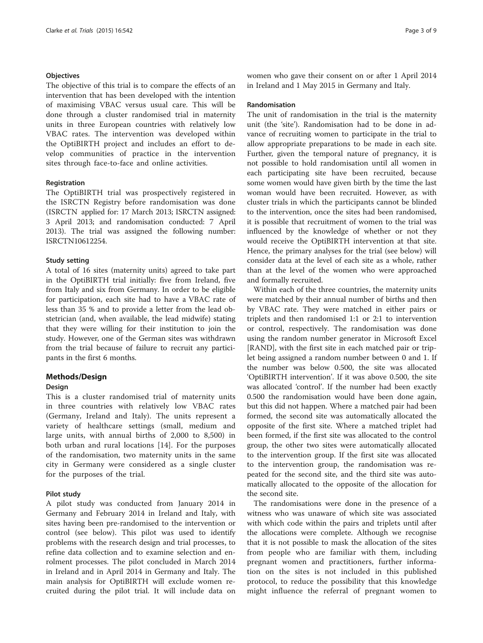# **Objectives**

The objective of this trial is to compare the effects of an intervention that has been developed with the intention of maximising VBAC versus usual care. This will be done through a cluster randomised trial in maternity units in three European countries with relatively low VBAC rates. The intervention was developed within the OptiBIRTH project and includes an effort to develop communities of practice in the intervention sites through face-to-face and online activities.

### Registration

The OptiBIRTH trial was prospectively registered in the ISRCTN Registry before randomisation was done (ISRCTN applied for: 17 March 2013; ISRCTN assigned: 3 April 2013; and randomisation conducted: 7 April 2013). The trial was assigned the following number: ISRCTN10612254.

# Study setting

A total of 16 sites (maternity units) agreed to take part in the OptiBIRTH trial initially: five from Ireland, five from Italy and six from Germany. In order to be eligible for participation, each site had to have a VBAC rate of less than 35 % and to provide a letter from the lead obstetrician (and, when available, the lead midwife) stating that they were willing for their institution to join the study. However, one of the German sites was withdrawn from the trial because of failure to recruit any participants in the first 6 months.

# Methods/Design

# Design

This is a cluster randomised trial of maternity units in three countries with relatively low VBAC rates (Germany, Ireland and Italy). The units represent a variety of healthcare settings (small, medium and large units, with annual births of 2,000 to 8,500) in both urban and rural locations [[14\]](#page-7-0). For the purposes of the randomisation, two maternity units in the same city in Germany were considered as a single cluster for the purposes of the trial.

### Pilot study

A pilot study was conducted from January 2014 in Germany and February 2014 in Ireland and Italy, with sites having been pre-randomised to the intervention or control (see below). This pilot was used to identify problems with the research design and trial processes, to refine data collection and to examine selection and enrolment processes. The pilot concluded in March 2014 in Ireland and in April 2014 in Germany and Italy. The main analysis for OptiBIRTH will exclude women recruited during the pilot trial. It will include data on women who gave their consent on or after 1 April 2014 in Ireland and 1 May 2015 in Germany and Italy.

# Randomisation

The unit of randomisation in the trial is the maternity unit (the 'site'). Randomisation had to be done in advance of recruiting women to participate in the trial to allow appropriate preparations to be made in each site. Further, given the temporal nature of pregnancy, it is not possible to hold randomisation until all women in each participating site have been recruited, because some women would have given birth by the time the last woman would have been recruited. However, as with cluster trials in which the participants cannot be blinded to the intervention, once the sites had been randomised, it is possible that recruitment of women to the trial was influenced by the knowledge of whether or not they would receive the OptiBIRTH intervention at that site. Hence, the primary analyses for the trial (see below) will consider data at the level of each site as a whole, rather than at the level of the women who were approached and formally recruited.

Within each of the three countries, the maternity units were matched by their annual number of births and then by VBAC rate. They were matched in either pairs or triplets and then randomised 1:1 or 2:1 to intervention or control, respectively. The randomisation was done using the random number generator in Microsoft Excel [RAND], with the first site in each matched pair or triplet being assigned a random number between 0 and 1. If the number was below 0.500, the site was allocated 'OptiBIRTH intervention'. If it was above 0.500, the site was allocated 'control'. If the number had been exactly 0.500 the randomisation would have been done again, but this did not happen. Where a matched pair had been formed, the second site was automatically allocated the opposite of the first site. Where a matched triplet had been formed, if the first site was allocated to the control group, the other two sites were automatically allocated to the intervention group. If the first site was allocated to the intervention group, the randomisation was repeated for the second site, and the third site was automatically allocated to the opposite of the allocation for the second site.

The randomisations were done in the presence of a witness who was unaware of which site was associated with which code within the pairs and triplets until after the allocations were complete. Although we recognise that it is not possible to mask the allocation of the sites from people who are familiar with them, including pregnant women and practitioners, further information on the sites is not included in this published protocol, to reduce the possibility that this knowledge might influence the referral of pregnant women to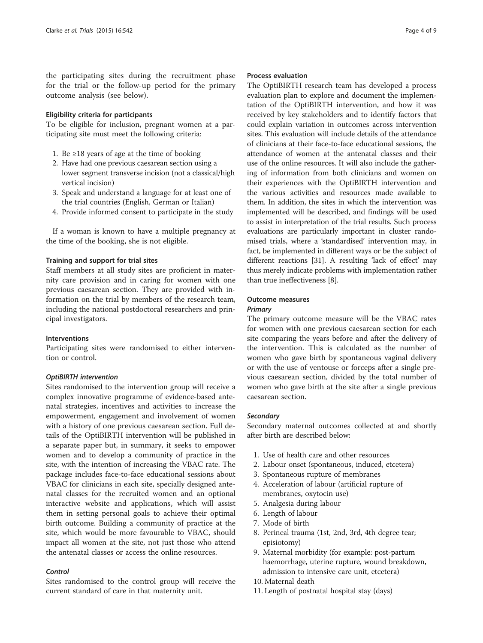the participating sites during the recruitment phase for the trial or the follow-up period for the primary outcome analysis (see below).

# Eligibility criteria for participants

To be eligible for inclusion, pregnant women at a participating site must meet the following criteria:

- 1. Be ≥18 years of age at the time of booking
- 2. Have had one previous caesarean section using a lower segment transverse incision (not a classical/high vertical incision)
- 3. Speak and understand a language for at least one of the trial countries (English, German or Italian)
- 4. Provide informed consent to participate in the study

If a woman is known to have a multiple pregnancy at the time of the booking, she is not eligible.

# Training and support for trial sites

Staff members at all study sites are proficient in maternity care provision and in caring for women with one previous caesarean section. They are provided with information on the trial by members of the research team, including the national postdoctoral researchers and principal investigators.

# Interventions

Participating sites were randomised to either intervention or control.

# OptiBIRTH intervention

Sites randomised to the intervention group will receive a complex innovative programme of evidence-based antenatal strategies, incentives and activities to increase the empowerment, engagement and involvement of women with a history of one previous caesarean section. Full details of the OptiBIRTH intervention will be published in a separate paper but, in summary, it seeks to empower women and to develop a community of practice in the site, with the intention of increasing the VBAC rate. The package includes face-to-face educational sessions about VBAC for clinicians in each site, specially designed antenatal classes for the recruited women and an optional interactive website and applications, which will assist them in setting personal goals to achieve their optimal birth outcome. Building a community of practice at the site, which would be more favourable to VBAC, should impact all women at the site, not just those who attend the antenatal classes or access the online resources.

# **Control**

Sites randomised to the control group will receive the current standard of care in that maternity unit.

# Process evaluation

The OptiBIRTH research team has developed a process evaluation plan to explore and document the implementation of the OptiBIRTH intervention, and how it was received by key stakeholders and to identify factors that could explain variation in outcomes across intervention sites. This evaluation will include details of the attendance of clinicians at their face-to-face educational sessions, the attendance of women at the antenatal classes and their use of the online resources. It will also include the gathering of information from both clinicians and women on their experiences with the OptiBIRTH intervention and the various activities and resources made available to them. In addition, the sites in which the intervention was implemented will be described, and findings will be used to assist in interpretation of the trial results. Such process evaluations are particularly important in cluster randomised trials, where a 'standardised' intervention may, in fact, be implemented in different ways or be the subject of different reactions [\[31\]](#page-8-0). A resulting 'lack of effect' may thus merely indicate problems with implementation rather than true ineffectiveness [[8](#page-7-0)].

### Outcome measures

# Primary

The primary outcome measure will be the VBAC rates for women with one previous caesarean section for each site comparing the years before and after the delivery of the intervention. This is calculated as the number of women who gave birth by spontaneous vaginal delivery or with the use of ventouse or forceps after a single previous caesarean section, divided by the total number of women who gave birth at the site after a single previous caesarean section.

# **Secondary**

Secondary maternal outcomes collected at and shortly after birth are described below:

- 1. Use of health care and other resources
- 2. Labour onset (spontaneous, induced, etcetera)
- 3. Spontaneous rupture of membranes
- 4. Acceleration of labour (artificial rupture of membranes, oxytocin use)
- 5. Analgesia during labour
- 6. Length of labour
- 7. Mode of birth
- 8. Perineal trauma (1st, 2nd, 3rd, 4th degree tear; episiotomy)
- 9. Maternal morbidity (for example: post-partum haemorrhage, uterine rupture, wound breakdown, admission to intensive care unit, etcetera)
- 10. Maternal death
- 11. Length of postnatal hospital stay (days)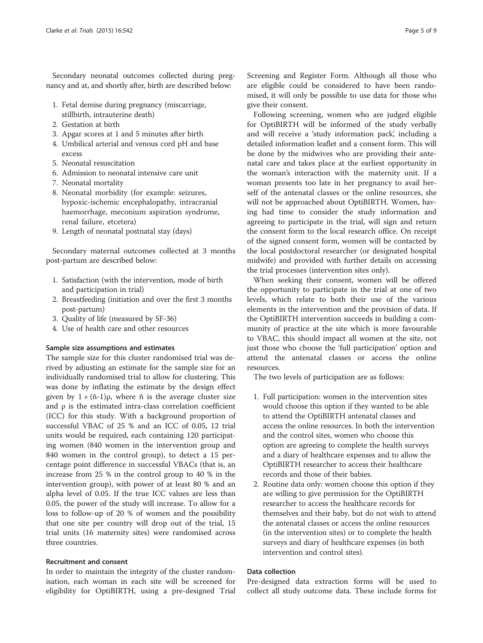Secondary neonatal outcomes collected during pregnancy and at, and shortly after, birth are described below:

- 1. Fetal demise during pregnancy (miscarriage, stillbirth, intrauterine death)
- 2. Gestation at birth
- 3. Apgar scores at 1 and 5 minutes after birth
- 4. Umbilical arterial and venous cord pH and base excess
- 5. Neonatal resuscitation
- 6. Admission to neonatal intensive care unit
- 7. Neonatal mortality
- 8. Neonatal morbidity (for example: seizures, hypoxic-ischemic encephalopathy, intracranial haemorrhage, meconium aspiration syndrome, renal failure, etcetera)
- 9. Length of neonatal postnatal stay (days)

Secondary maternal outcomes collected at 3 months post-partum are described below:

- 1. Satisfaction (with the intervention, mode of birth and participation in trial)
- 2. Breastfeeding (initiation and over the first 3 months post-partum)
- 3. Quality of life (measured by SF-36)
- 4. Use of health care and other resources

# Sample size assumptions and estimates

The sample size for this cluster randomised trial was derived by adjusting an estimate for the sample size for an individually randomised trial to allow for clustering. This was done by inflating the estimate by the design effect given by  $1 + (\tilde{n}-1)\rho$ , where  $\tilde{n}$  is the average cluster size and  $\rho$  is the estimated intra-class correlation coefficient (ICC) for this study. With a background proportion of successful VBAC of 25 % and an ICC of 0.05, 12 trial units would be required, each containing 120 participating women (840 women in the intervention group and 840 women in the control group), to detect a 15 percentage point difference in successful VBACs (that is, an increase from 25 % in the control group to 40 % in the intervention group), with power of at least 80 % and an alpha level of 0.05. If the true ICC values are less than 0.05, the power of the study will increase. To allow for a loss to follow-up of 20 % of women and the possibility that one site per country will drop out of the trial, 15 trial units (16 maternity sites) were randomised across three countries.

# Recruitment and consent

In order to maintain the integrity of the cluster randomisation, each woman in each site will be screened for eligibility for OptiBIRTH, using a pre-designed Trial Screening and Register Form. Although all those who are eligible could be considered to have been randomised, it will only be possible to use data for those who give their consent.

Following screening, women who are judged eligible for OptiBIRTH will be informed of the study verbally and will receive a 'study information pack', including a detailed information leaflet and a consent form. This will be done by the midwives who are providing their antenatal care and takes place at the earliest opportunity in the woman's interaction with the maternity unit. If a woman presents too late in her pregnancy to avail herself of the antenatal classes or the online resources, she will not be approached about OptiBIRTH. Women, having had time to consider the study information and agreeing to participate in the trial, will sign and return the consent form to the local research office. On receipt of the signed consent form, women will be contacted by the local postdoctoral researcher (or designated hospital midwife) and provided with further details on accessing the trial processes (intervention sites only).

When seeking their consent, women will be offered the opportunity to participate in the trial at one of two levels, which relate to both their use of the various elements in the intervention and the provision of data. If the OptiBIRTH intervention succeeds in building a community of practice at the site which is more favourable to VBAC, this should impact all women at the site, not just those who choose the 'full participation' option and attend the antenatal classes or access the online resources.

The two levels of participation are as follows:

- 1. Full participation: women in the intervention sites would choose this option if they wanted to be able to attend the OptiBIRTH antenatal classes and access the online resources. In both the intervention and the control sites, women who choose this option are agreeing to complete the health surveys and a diary of healthcare expenses and to allow the OptiBIRTH researcher to access their healthcare records and those of their babies.
- 2. Routine data only: women choose this option if they are willing to give permission for the OptiBIRTH researcher to access the healthcare records for themselves and their baby, but do not wish to attend the antenatal classes or access the online resources (in the intervention sites) or to complete the health surveys and diary of healthcare expenses (in both intervention and control sites).

# Data collection

Pre-designed data extraction forms will be used to collect all study outcome data. These include forms for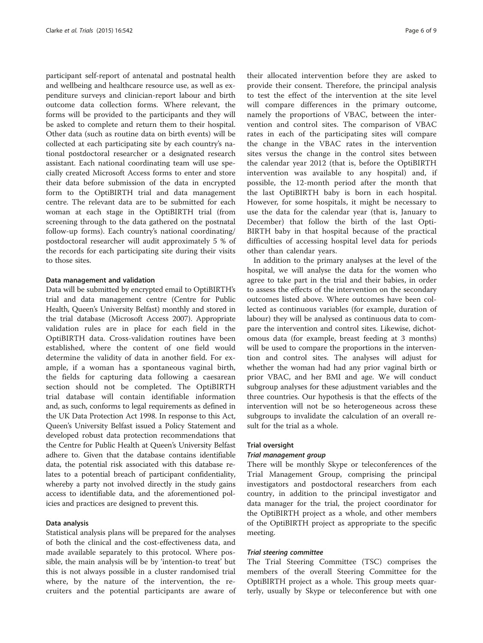participant self-report of antenatal and postnatal health and wellbeing and healthcare resource use, as well as expenditure surveys and clinician-report labour and birth outcome data collection forms. Where relevant, the forms will be provided to the participants and they will be asked to complete and return them to their hospital. Other data (such as routine data on birth events) will be collected at each participating site by each country's national postdoctoral researcher or a designated research assistant. Each national coordinating team will use specially created Microsoft Access forms to enter and store their data before submission of the data in encrypted form to the OptiBIRTH trial and data management centre. The relevant data are to be submitted for each woman at each stage in the OptiBIRTH trial (from screening through to the data gathered on the postnatal follow-up forms). Each country's national coordinating/ postdoctoral researcher will audit approximately 5 % of the records for each participating site during their visits to those sites.

### Data management and validation

Data will be submitted by encrypted email to OptiBIRTH's trial and data management centre (Centre for Public Health, Queen's University Belfast) monthly and stored in the trial database (Microsoft Access 2007). Appropriate validation rules are in place for each field in the OptiBIRTH data. Cross-validation routines have been established, where the content of one field would determine the validity of data in another field. For example, if a woman has a spontaneous vaginal birth, the fields for capturing data following a caesarean section should not be completed. The OptiBIRTH trial database will contain identifiable information and, as such, conforms to legal requirements as defined in the UK Data Protection Act 1998. In response to this Act, Queen's University Belfast issued a Policy Statement and developed robust data protection recommendations that the Centre for Public Health at Queen's University Belfast adhere to. Given that the database contains identifiable data, the potential risk associated with this database relates to a potential breach of participant confidentiality, whereby a party not involved directly in the study gains access to identifiable data, and the aforementioned policies and practices are designed to prevent this.

# Data analysis

Statistical analysis plans will be prepared for the analyses of both the clinical and the cost-effectiveness data, and made available separately to this protocol. Where possible, the main analysis will be by 'intention-to treat' but this is not always possible in a cluster randomised trial where, by the nature of the intervention, the recruiters and the potential participants are aware of

their allocated intervention before they are asked to provide their consent. Therefore, the principal analysis to test the effect of the intervention at the site level will compare differences in the primary outcome, namely the proportions of VBAC, between the intervention and control sites. The comparison of VBAC rates in each of the participating sites will compare the change in the VBAC rates in the intervention sites versus the change in the control sites between the calendar year 2012 (that is, before the OptiBIRTH intervention was available to any hospital) and, if possible, the 12-month period after the month that the last OptiBIRTH baby is born in each hospital. However, for some hospitals, it might be necessary to use the data for the calendar year (that is, January to December) that follow the birth of the last Opti-BIRTH baby in that hospital because of the practical difficulties of accessing hospital level data for periods other than calendar years.

In addition to the primary analyses at the level of the hospital, we will analyse the data for the women who agree to take part in the trial and their babies, in order to assess the effects of the intervention on the secondary outcomes listed above. Where outcomes have been collected as continuous variables (for example, duration of labour) they will be analysed as continuous data to compare the intervention and control sites. Likewise, dichotomous data (for example, breast feeding at 3 months) will be used to compare the proportions in the intervention and control sites. The analyses will adjust for whether the woman had had any prior vaginal birth or prior VBAC, and her BMI and age. We will conduct subgroup analyses for these adjustment variables and the three countries. Our hypothesis is that the effects of the intervention will not be so heterogeneous across these subgroups to invalidate the calculation of an overall result for the trial as a whole.

# Trial oversight

### Trial management group

There will be monthly Skype or teleconferences of the Trial Management Group, comprising the principal investigators and postdoctoral researchers from each country, in addition to the principal investigator and data manager for the trial, the project coordinator for the OptiBIRTH project as a whole, and other members of the OptiBIRTH project as appropriate to the specific meeting.

### Trial steering committee

The Trial Steering Committee (TSC) comprises the members of the overall Steering Committee for the OptiBIRTH project as a whole. This group meets quarterly, usually by Skype or teleconference but with one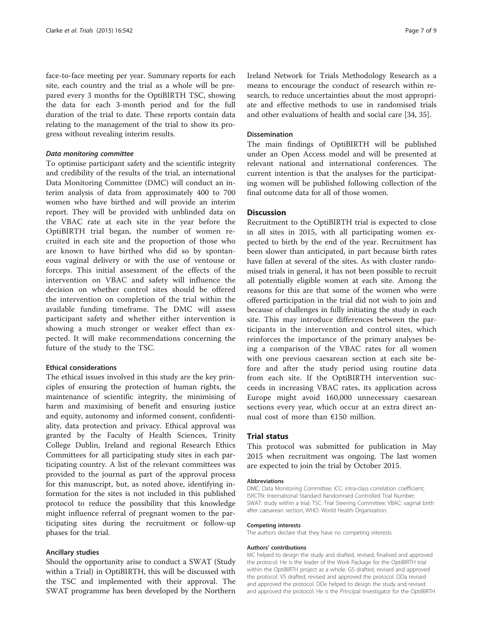face-to-face meeting per year. Summary reports for each site, each country and the trial as a whole will be prepared every 3 months for the OptiBIRTH TSC, showing the data for each 3-month period and for the full duration of the trial to date. These reports contain data relating to the management of the trial to show its progress without revealing interim results.

### Data monitoring committee

To optimise participant safety and the scientific integrity and credibility of the results of the trial, an international Data Monitoring Committee (DMC) will conduct an interim analysis of data from approximately 400 to 700 women who have birthed and will provide an interim report. They will be provided with unblinded data on the VBAC rate at each site in the year before the OptiBIRTH trial began, the number of women recruited in each site and the proportion of those who are known to have birthed who did so by spontaneous vaginal delivery or with the use of ventouse or forceps. This initial assessment of the effects of the intervention on VBAC and safety will influence the decision on whether control sites should be offered the intervention on completion of the trial within the available funding timeframe. The DMC will assess participant safety and whether either intervention is showing a much stronger or weaker effect than expected. It will make recommendations concerning the future of the study to the TSC.

# Ethical considerations

The ethical issues involved in this study are the key principles of ensuring the protection of human rights, the maintenance of scientific integrity, the minimising of harm and maximising of benefit and ensuring justice and equity, autonomy and informed consent, confidentiality, data protection and privacy. Ethical approval was granted by the Faculty of Health Sciences, Trinity College Dublin, Ireland and regional Research Ethics Committees for all participating study sites in each participating country. A list of the relevant committees was provided to the journal as part of the approval process for this manuscript, but, as noted above, identifying information for the sites is not included in this published protocol to reduce the possibility that this knowledge might influence referral of pregnant women to the participating sites during the recruitment or follow-up phases for the trial.

# Ancillary studies

Should the opportunity arise to conduct a SWAT (Study within a Trial) in OptiBIRTH, this will be discussed with the TSC and implemented with their approval. The SWAT programme has been developed by the Northern

Ireland Network for Trials Methodology Research as a means to encourage the conduct of research within research, to reduce uncertainties about the most appropriate and effective methods to use in randomised trials and other evaluations of health and social care [[34, 35\]](#page-8-0).

# Dissemination

The main findings of OptiBIRTH will be published under an Open Access model and will be presented at relevant national and international conferences. The current intention is that the analyses for the participating women will be published following collection of the final outcome data for all of those women.

# **Discussion**

Recruitment to the OptiBIRTH trial is expected to close in all sites in 2015, with all participating women expected to birth by the end of the year. Recruitment has been slower than anticipated, in part because birth rates have fallen at several of the sites. As with cluster randomised trials in general, it has not been possible to recruit all potentially eligible women at each site. Among the reasons for this are that some of the women who were offered participation in the trial did not wish to join and because of challenges in fully initiating the study in each site. This may introduce differences between the participants in the intervention and control sites, which reinforces the importance of the primary analyses being a comparison of the VBAC rates for all women with one previous caesarean section at each site before and after the study period using routine data from each site. If the OptiBIRTH intervention succeeds in increasing VBAC rates, its application across Europe might avoid 160,000 unnecessary caesarean sections every year, which occur at an extra direct annual cost of more than €150 million.

# Trial status

This protocol was submitted for publication in May 2015 when recruitment was ongoing. The last women are expected to join the trial by October 2015.

### Abbreviations

DMC: Data Monitoring Committee; ICC: intra-class correlation coefficient; ISRCTN: International Standard Randomised Controlled Trial Number; SWAT: study within a trial; TSC: Trial Steering Committee; VBAC: vaginal birth after caesarean section; WHO: World Health Organization.

#### Competing interests

The authors declare that they have no competing interests.

#### Authors' contributions

MC helped to design the study and drafted, revised, finalised and approved the protocol. He is the leader of the Work Package for the OptiBIRTH trial within the OptiBIRTH project as a whole. GS drafted, revised and approved the protocol. VS drafted, revised and approved the protocol. DDa revised and approved the protocol. DDe helped to design the study and revised and approved the protocol. He is the Principal Investigator for the OptiBIRTH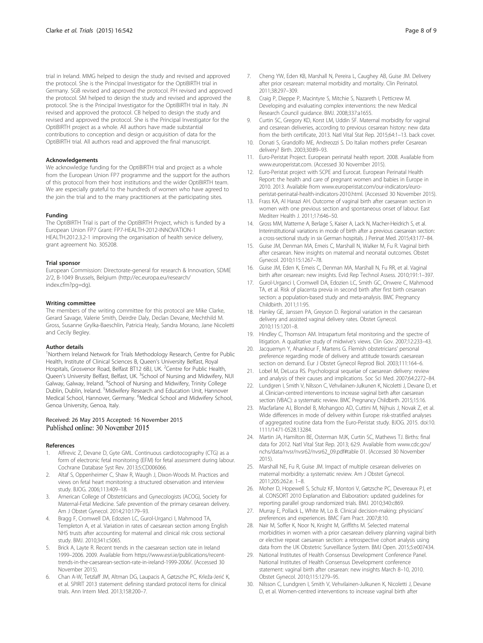<span id="page-7-0"></span>trial in Ireland. MMG helped to design the study and revised and approved the protocol. She is the Principal Investigator for the OptiBIRTH trial in Germany. SGB revised and approved the protocol. PH revised and approved the protocol. SM helped to design the study and revised and approved the protocol. She is the Principal Investigator for the OptiBIRTH trial in Italy. JN revised and approved the protocol. CB helped to design the study and revised and approved the protocol. She is the Principal Investigator for the OptiBIRTH project as a whole. All authors have made substantial contributions to conception and design or acquisition of data for the OptiBIRTH trial. All authors read and approved the final manuscript.

#### Acknowledgements

We acknowledge funding for the OptiBIRTH trial and project as a whole from the European Union FP7 programme and the support for the authors of this protocol from their host institutions and the wider OptiBIRTH team. We are especially grateful to the hundreds of women who have agreed to the join the trial and to the many practitioners at the participating sites.

#### Funding

The OptiBIRTH Trial is part of the OptiBIRTH Project, which is funded by a European Union FP7 Grant: FP7-HEALTH-2012-INNOVATION-1 HEALTH.2012.3.2-1 improving the organisation of health service delivery, grant agreement No. 305208.

### Trial sponsor

European Commission: Directorate-general for research & Innovation, SDME 2/2, B-1049 Brussels, Belgium [\(http://ec.europa.eu/research/](http://ec.europa.eu/research/index.cfm?pg=dg) [index.cfm?pg=dg](http://ec.europa.eu/research/index.cfm?pg=dg)).

#### Writing committee

The members of the writing committee for this protocol are Mike Clarke, Gerard Savage, Valerie Smith, Deirdre Daly, Declan Devane, Mechthild M. Gross, Susanne Grylka-Baeschlin, Patricia Healy, Sandra Morano, Jane Nicoletti and Cecily Begley.

### Author details

<sup>1</sup>Northern Ireland Network for Trials Methodology Research, Centre for Public Health, Institute of Clinical Sciences B, Queen's University Belfast, Royal Hospitals, Grosvenor Road, Belfast BT12 6BJ, UK. <sup>2</sup>Centre for Public Health, Queen's University Belfast, Belfast, UK. <sup>3</sup>School of Nursing and Midwifery, NUI Galway, Galway, Ireland. <sup>4</sup>School of Nursing and Midwifery, Trinity College Dublin, Dublin, Ireland. <sup>5</sup>Midwifery Research and Education Unit, Hannover Medical School, Hannover, Germany. <sup>6</sup>Medical School and Midwifery School, Genoa University, Genoa, Italy.

### Received: 26 May 2015 Accepted: 16 November 2015 Published online: 30 November 2015

#### References

- Alfirevic Z, Devane D, Gyte GML. Continuous cardiotocography (CTG) as a form of electronic fetal monitoring (EFM) for fetal assessment during labour. Cochrane Database Syst Rev. 2013;5:CD006066.
- 2. Altaf S, Oppenheimer C, Shaw R, Waugh J, Dixon-Woods M. Practices and views on fetal heart monitoring: a structured observation and interview study. BJOG. 2006;113:409–18.
- 3. American College of Obstetricians and Gynecologists (ACOG), Society for Maternal-Fetal Medicine. Safe prevention of the primary cesarean delivery. Am J Obstet Gynecol. 2014;210:179–93.
- 4. Bragg F, Cromwell DA, Edozien LC, Gurol-Urganci I, Mahmood TA, Templeton A, et al. Variation in rates of caesarean section among English NHS trusts after accounting for maternal and clinical risk: cross sectional study. BMJ. 2010;341:c5065.
- 5. Brick A, Layte R. Recent trends in the caesarean section rate in Ireland 1999–2006. 2009. Available from [https://www.esri.ie/publications/recent](https://www.esri.ie/publications/recent-trends-in-the-caesarean-section-rate-in-ireland-1999-2006/)[trends-in-the-caesarean-section-rate-in-ireland-1999-2006/](https://www.esri.ie/publications/recent-trends-in-the-caesarean-section-rate-in-ireland-1999-2006/). (Accessed 30 November 2015)
- 6. Chan A-W, Tetzlaff JM, Altman DG, Laupacis A, Gøtzsche PC, Krleža-Jerić K, et al. SPIRIT 2013 statement: defining standard protocol items for clinical trials. Ann Intern Med. 2013;158:200–7.
- 7. Cheng YW, Eden KB, Marshall N, Pereira L, Caughey AB, Guise JM. Delivery after prior cesarean: maternal morbidity and mortality. Clin Perinatol. 2011;38:297–309.
- 8. Craig P, Dieppe P, Macintyre S, Mitchie S, Nazareth I, Petticrew M. Developing and evaluating complex interventions: the new Medical Research Council guidance. BMJ. 2008;337:a1655.
- 9. Curtin SC, Gregory KD, Korst LM, Uddin SF. Maternal morbidity for vaginal and cesarean deliveries, according to previous cesarean history: new data from the birth certificate, 2013. Natl Vital Stat Rep. 2015;64:1–13. back cover.
- 10. Donati S, Grandolfo ME, Andreozzi S. Do Italian mothers prefer Cesarean delivery? Birth. 2003;30:89–93.
- 11. Euro-Peristat Project. European perinatal health report. 2008. Available from [www.europeristat.com](http://www.europeristat.com). (Accessed 30 November 2015).
- 12. Euro-Peristat project with SCPE and Eurocat. European Perinatal Health Report: the health and care of pregnant women and babies in Europe in 2010. 2013. Available from [www.europeristat.com/our-indicators/euro](http://www.europeristat.com/our-indicators/euro-peristat-perinatal-health-indicators-2010.html)[peristat-perinatal-health-indicators-2010.html.](http://www.europeristat.com/our-indicators/euro-peristat-perinatal-health-indicators-2010.html) (Accessed 30 November 2015).
- 13. Frass KA, Al Harazi AH. Outcome of vaginal birth after caesarean section in women with one previous section and spontaneous onset of labour. East Mediterr Health J. 2011;17:646–50.
- 14. Gross MM, Matterne A, Berlage S, Kaiser A, Lack N, Macher-Heidrich S, et al. Interinstitutional variations in mode of birth after a previous caesarean section: a cross-sectional study in six German hospitals. J Perinat Med. 2015;43:177–84.
- 15. Guise JM, Denman MA, Emeis C, Marshall N, Walker M, Fu R. Vaginal birth after cesarean. New insights on maternal and neonatal outcomes. Obstet Gynecol. 2010;115:1267–78.
- 16. Guise JM, Eden K, Emeis C, Denman MA, Marshall N, Fu RR, et al. Vaginal birth after cesarean: new insights. Evid Rep Technol Assess. 2010;191:1–397.
- 17. Gurol-Urganci I, Cromwell DA, Edozien LC, Smith GC, Onwere C, Mahmood TA, et al. Risk of placenta previa in second birth after first birth cesarean section: a population-based study and meta-analysis. BMC Pregnancy Childbirth. 2011;11:95.
- 18. Hanley GE, Janssen PA, Greyson D. Regional variation in the caesarean delivery and assisted vaginal delivery rates. Obstet Gynecol. 2010;115:1201–8.
- 19. Hindley C, Thomson AM. Intrapartum fetal monitoring and the spectre of litigation. A qualitative study of midwive's views. Clin Gov. 2007;12:233–43.
- 20. Jacquemyn Y, Ahankour F, Martens G. Flemish obstetricians' personal preference regarding mode of delivery and attitude towards caesarean section on demand. Eur J Obstet Gynecol Reprod Biol. 2003;111:164–6.
- 21. Lobel M, DeLuca RS. Psychological sequelae of caesarean delivery: review and analysis of their causes and implications. Soc Sci Med. 2007;64:2272–84.
- 22. Lundgren I, Smith V, Nilsson C, Vehvilainen-Julkunen K, Nicoletti J, Devane D, et al. Clinician-centred interventions to increase vaginal birth after caesarean section (VBAC): a systematic review. BMC Pregnancy Childbirth. 2015;15:16.
- 23. Macfarlane AJ, Blondel B, Mohangoo AD, Cuttini M, Nijhuis J, Novak Z, et al. Wide differences in mode of delivery within Europe: risk-stratified analyses of aggregated routine data from the Euro-Peristat study. BJOG. 2015. doi:[10.](http://dx.doi.org/10.1111/1471-0528.13284) [1111/1471-0528.13284](http://dx.doi.org/10.1111/1471-0528.13284).
- 24. Martin JA, Hamilton BE, Osterman MJK, Curtin SC, Mathews TJ. Births: final data for 2012. Natl Vital Stat Rep. 2013; 62:9. Available from [www.cdc.gov/](http://www.cdc.gov/nchs/data/nvsr/nvsr62/nvsr62_09.pdf#table) [nchs/data/nvsr/nvsr62/nvsr62\\_09.pdf#table](http://www.cdc.gov/nchs/data/nvsr/nvsr62/nvsr62_09.pdf#table) 01. (Accessed 30 November 2015).
- 25. Marshall NE, Fu R, Guise JM. Impact of multiple cesarean deliveries on maternal morbidity: a systematic review. Am J Obstet Gynecol. 2011;205:262.e. 1–8.
- 26. Moher D, Hopewell S, Schulz KF, Montori V, Gøtzsche PC, Devereaux PJ, et al. CONSORT 2010 Explanation and Elaboration: updated guidelines for reporting parallel group randomized trials. BMJ. 2010;340:c869.
- 27. Murray E, Pollack L, White M, Lo B. Clinical decision-making: physicians' preferences and experiences. BMC Fam Pract. 2007;8:10.
- 28. Nair M, Soffer K, Noor N, Knight M, Griffiths M. Selected maternal morbidities in women with a prior caesarean delivery planning vaginal birth or elective repeat caesarean section: a retrospective cohort analysis using data from the UK Obstetric Surveillance System. BMJ Open. 2015;5:e007434.
- 29. National Institutes of Health Consensus Development Conference Panel. National Institutes of Health Consensus Development conference statement: vaginal birth after cesarean: new insights March 8–10, 2010. Obstet Gynecol. 2010;115:1279–95.
- 30. Nilsson C, Lundgren I, Smith V, Vehvilainen-Julkunen K, Nicoletti J, Devane D, et al. Women-centred interventions to increase vaginal birth after